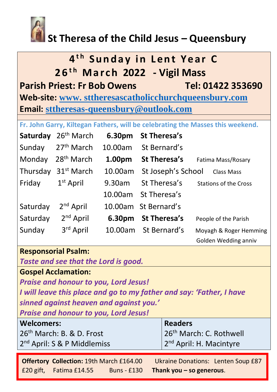

# **St Theresa of the Child Jesus – Queensbury**

| 4 <sup>th</sup> Sunday in Lent Year C                 |                   |  |  |
|-------------------------------------------------------|-------------------|--|--|
| 26 <sup>th</sup> March 2022 - Vigil Mass              |                   |  |  |
| <b>Parish Priest: Fr Bob Owens</b>                    | Tel: 01422 353690 |  |  |
| Web-site: www. sttheresascatholicchurchqueensbury.com |                   |  |  |
| <b>Email: sttheresas-queensbury@outlook.com</b>       |                   |  |  |

**Fr. John Garry, Kiltegan Fathers, will be celebrating the Masses this weekend.** 

| Saturday | 26 <sup>th</sup> March | 6.30pm  | St Theresa's         |                              |
|----------|------------------------|---------|----------------------|------------------------------|
| Sunday   | $27th$ March           | 10.00am | St Bernard's         |                              |
| Monday   | $28th$ March           | 1.00pm  | St Theresa's         | Fatima Mass/Rosary           |
| Thursday | 31 <sup>st</sup> March | 10.00am | St Joseph's School   | <b>Class Mass</b>            |
| Friday   | $1st$ April            | 9.30am  | St Theresa's         | <b>Stations of the Cross</b> |
|          |                        | 10.00am | St Theresa's         |                              |
| Saturday | 2 <sup>nd</sup> April  |         | 10.00am St Bernard's |                              |
| Saturday | $2nd$ April            | 6.30pm  | <b>St Theresa's</b>  | People of the Parish         |
| Sunday   | 3rd April              | 10.00am | St Bernard's         | Moyagh & Roger Hemming       |
|          |                        |         |                      | Golden Wedding anniv         |

## **Responsorial Psalm:**

| Taste and see that the Lord is good.                                 |                                           |  |  |  |
|----------------------------------------------------------------------|-------------------------------------------|--|--|--|
| <b>Gospel Acclamation:</b>                                           |                                           |  |  |  |
| <b>Praise and honour to you, Lord Jesus!</b>                         |                                           |  |  |  |
| I will leave this place and go to my father and say: 'Father, I have |                                           |  |  |  |
| sinned against heaven and against you.'                              |                                           |  |  |  |
| <b>Praise and honour to you, Lord Jesus!</b>                         |                                           |  |  |  |
| <b>Welcomers:</b>                                                    | <b>Readers</b>                            |  |  |  |
| 26 <sup>th</sup> March: B. & D. Frost                                | 26 <sup>th</sup> March: C. Rothwell       |  |  |  |
| 2 <sup>nd</sup> April: S & P Middlemiss                              | 2 <sup>nd</sup> April: H. Macintyre       |  |  |  |
| <b>Offertory Collection: 19th March £164.00</b>                      | <b>Ukraine Donations: Lenten Soup £87</b> |  |  |  |
| £20 gift, Fatima £14.55 Buns - £130                                  | Thank you - so generous.                  |  |  |  |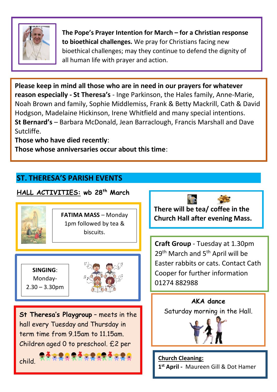

**The Pope's Prayer Intention for March – for a Christian response to bioethical challenges.** We pray for Christians facing new bioethical challenges; may they continue to defend the dignity of all human life with prayer and action.

**Please keep in mind all those who are in need in our prayers for whatever reason especially - St Theresa's** - Inge Parkinson, the Hales family, Anne-Marie, Noah Brown and family, Sophie Middlemiss, Frank & Betty Mackrill, Cath & David Hodgson, Madelaine Hickinson, Irene Whitfield and many special intentions. **St Bernard's** – Barbara McDonald, Jean Barraclough, Francis Marshall and Dave Sutcliffe.

**Those who have died recently**:

**Those whose anniversaries occur about this time**:

## **ST. THERESA'S PARISH EVENTS**

#### **HALL ACTIVITIES: wb 28 th March There will be tea/ coffee in the Church Hall after evening Mass.**   $\overline{\phantom{a}}$ **SINGING**: Monday- $2.30 - 3.30$ pm **FATIMA MASS** – Monday 1pm followed by tea & biscuits. **Craft Group** - Tuesday at 1.30pm 29<sup>th</sup> March and 5<sup>th</sup> April will be Easter rabbits or cats. Contact Cath Cooper for further information 01274 882988 Ī **St Theresa's Playgroup** – meets in the hall every Tuesday and Thursday in term time from 9.15am to 11.15am. Children aged 0 to preschool. £2 per child. **Church Cleaning: 1 st April -** Maureen Gill & Dot Hamer **AKA dance**  Saturday morning in the Hall. ī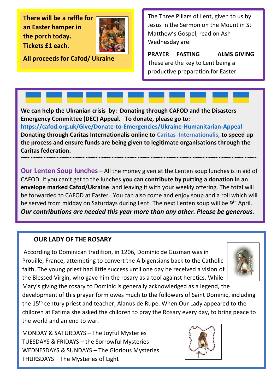**There will be a raffle for an Easter hamper in the porch today. Tickets £1 each.** 



**All proceeds for Cafod/ Ukraine**

The Three Pillars of Lent, given to us by Jesus in the Sermon on the Mount in St Matthew's Gospel, read on Ash Wednesday are:

**PRAYER FASTING ALMS GIVING** These are the key to Lent being a productive preparation for Easter.

**We can help the Ukranian crisis by: Donating through CAFOD and the Disasters Emergency Committee (DEC) Appeal. To donate, please go to: <https://cafod.org.uk/Give/Donate-to-Emergencies/Ukraine-Humanitarian-Appeal> Donating through Caritas Internationalis online to Caritas Internationalis, to speed up the process and ensure funds are being given to legitimate organisations through the Caritas federation.** 

**Our Lenten Soup lunches** – All the money given at the Lenten soup lunches is in aid of CAFOD. If you can't get to the lunches **you can contribute by putting a donation in an envelope marked Cafod/Ukraine** and leaving it with your weekly offering. The total will be forwarded to CAFOD at Easter. You can also come and enjoy soup and a roll which will be served from midday on Saturdays during Lent. The next Lenten soup will be 9<sup>th</sup> April. *Our contributions are needed this year more than any other. Please be generous.* 

**~~~~~~~~~~~~~~~~~~~~~~~~~~~~~~~~~~~~~~~~~~~~~~~~~~~~~~~~~~~~~~~~~~~~~~~~~** 

#### **OUR LADY OF THE ROSARY**

According to Dominican tradition, in 1206, Dominic de Guzman was in Prouille, France, attempting to convert the Albigensians back to the Catholic faith. The young priest had little success until one day he received a vision of the Blessed Virgin, who gave him the rosary as a tool against heretics. While



Mary's giving the rosary to Dominic is generally acknowledged as a legend, the development of this prayer form owes much to the followers of Saint Dominic, including the 15<sup>th</sup> century priest and teacher, Alanus de Rupe. When Our Lady appeared to the children at Fatima she asked the children to pray the Rosary every day, to bring peace to the world and an end to war.

MONDAY & SATURDAYS – The Joyful Mysteries TUESDAYS & FRIDAYS – the Sorrowful Mysteries WEDNESDAYS & SUNDAYS – The Glorious Mysteries THURSDAYS – The Mysteries of Light